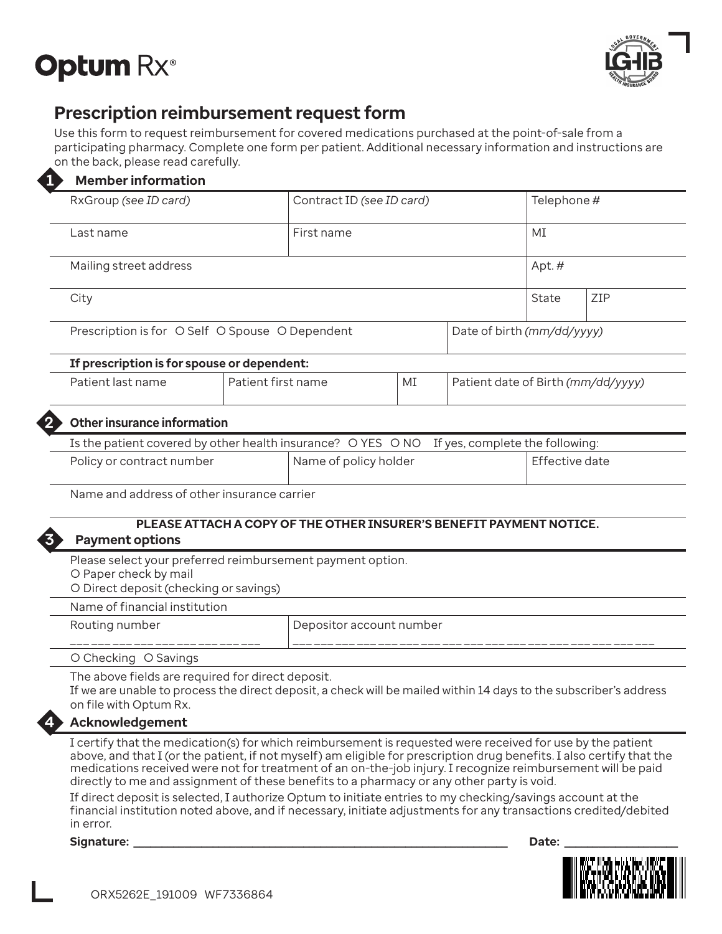



# **Prescription reimbursement request form**

Use this form to request reimbursement for covered medications purchased at the point-of-sale from a participating pharmacy. Complete one form per patient. Additional necessary information and instructions are on the back, please read carefully.

|  |  |  |  |  | <b>Member information</b> |
|--|--|--|--|--|---------------------------|
|--|--|--|--|--|---------------------------|

| <b>Member information</b>                                                                                                                                                                        |                          |                                                                     |                                    |              |                            |  |  |  |  |  |  |
|--------------------------------------------------------------------------------------------------------------------------------------------------------------------------------------------------|--------------------------|---------------------------------------------------------------------|------------------------------------|--------------|----------------------------|--|--|--|--|--|--|
| RxGroup (see ID card)                                                                                                                                                                            |                          | Contract ID (see ID card)                                           | Telephone #                        |              |                            |  |  |  |  |  |  |
| Last name                                                                                                                                                                                        |                          | First name                                                          | MT<br>Apt.#                        |              |                            |  |  |  |  |  |  |
| Mailing street address                                                                                                                                                                           |                          |                                                                     |                                    |              |                            |  |  |  |  |  |  |
| City                                                                                                                                                                                             |                          |                                                                     |                                    | ZIP<br>State |                            |  |  |  |  |  |  |
| Prescription is for O Self O Spouse O Dependent                                                                                                                                                  |                          |                                                                     |                                    |              | Date of birth (mm/dd/yyyy) |  |  |  |  |  |  |
| If prescription is for spouse or dependent:                                                                                                                                                      |                          |                                                                     |                                    |              |                            |  |  |  |  |  |  |
| Patient last name                                                                                                                                                                                | Patient first name       |                                                                     | Patient date of Birth (mm/dd/yyyy) |              |                            |  |  |  |  |  |  |
| <b>Other insurance information</b>                                                                                                                                                               |                          |                                                                     |                                    |              |                            |  |  |  |  |  |  |
| Is the patient covered by other health insurance? O YES O NO                                                                                                                                     |                          | If yes, complete the following:                                     |                                    |              |                            |  |  |  |  |  |  |
| Policy or contract number                                                                                                                                                                        |                          | Name of policy holder                                               | Effective date                     |              |                            |  |  |  |  |  |  |
| Name and address of other insurance carrier                                                                                                                                                      |                          |                                                                     |                                    |              |                            |  |  |  |  |  |  |
| <b>Payment options</b>                                                                                                                                                                           |                          | PLEASE ATTACH A COPY OF THE OTHER INSURER'S BENEFIT PAYMENT NOTICE. |                                    |              |                            |  |  |  |  |  |  |
| Please select your preferred reimbursement payment option.<br>O Paper check by mail<br>O Direct deposit (checking or savings)                                                                    |                          |                                                                     |                                    |              |                            |  |  |  |  |  |  |
| Name of financial institution                                                                                                                                                                    |                          |                                                                     |                                    |              |                            |  |  |  |  |  |  |
| Routing number                                                                                                                                                                                   | Depositor account number |                                                                     |                                    |              |                            |  |  |  |  |  |  |
| O Checking O Savings                                                                                                                                                                             |                          |                                                                     |                                    |              |                            |  |  |  |  |  |  |
| The above fields are required for direct deposit.<br>If we are unable to process the direct deposit, a check will be mailed within 14 days to the subscriber's address<br>on file with Optum Rx. |                          |                                                                     |                                    |              |                            |  |  |  |  |  |  |
| <b>Acknowledgement</b>                                                                                                                                                                           |                          |                                                                     |                                    |              |                            |  |  |  |  |  |  |

#### **Acknowledgement**

I certify that the medication(s) for which reimbursement is requested were received for use by the patient above, and that I (or the patient, if not myself) am eligible for prescription drug benefits. I also certify that the medications received were not for treatment of an on-the-job injury. I recognize reimbursement will be paid directly to me and assignment of these benefits to a pharmacy or any other party is void.

If direct deposit is selected, I authorize Optum to initiate entries to my checking/savings account at the financial institution noted above, and if necessary, initiate adjustments for any transactions credited/debited in error.

**Signature: \_\_\_\_\_\_\_\_\_\_\_\_\_\_\_\_\_\_\_\_\_\_\_\_\_\_\_\_\_\_\_\_\_\_\_\_\_\_\_\_\_\_\_\_\_\_\_\_\_\_\_\_\_\_\_\_\_\_\_\_\_\_\_\_\_\_ Date: \_\_\_\_\_\_\_\_\_\_\_\_\_\_\_\_\_\_\_\_**